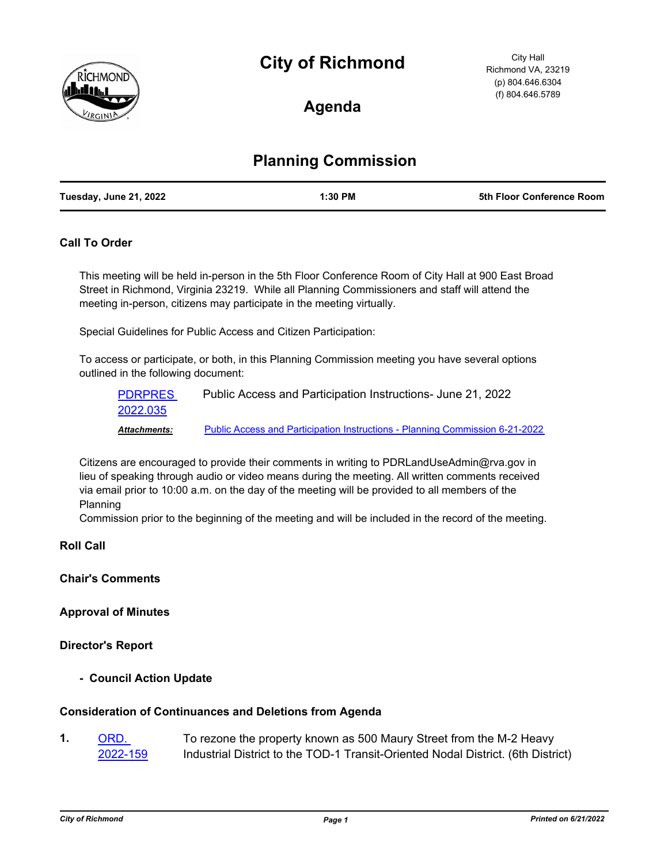# **City of Richmond**



City Hall Richmond VA, 23219 (p) 804.646.6304 (f) 804.646.5789

**Agenda**

## **Planning Commission**

| Tuesday, June 21, 2022<br>1:30 PM | 5th Floor Conference Room |
|-----------------------------------|---------------------------|
|-----------------------------------|---------------------------|

### **Call To Order**

This meeting will be held in-person in the 5th Floor Conference Room of City Hall at 900 East Broad Street in Richmond, Virginia 23219. While all Planning Commissioners and staff will attend the meeting in-person, citizens may participate in the meeting virtually.

Special Guidelines for Public Access and Citizen Participation:

To access or participate, or both, in this Planning Commission meeting you have several options outlined in the following document:

[PDRPRES](http://richmondva.legistar.com/gateway.aspx?m=l&id=/matter.aspx?key=32344) Public Access and Participation Instructions- June 21, 2022 2022.035 *Attachments:* [Public Access and Participation Instructions - Planning Commission 6-21-2022](http://richmondva.legistar.com/gateway.aspx?M=F&ID=af901828-35a5-42fa-92f3-856b7137541e.pdf)

Citizens are encouraged to provide their comments in writing to PDRLandUseAdmin@rva.gov in lieu of speaking through audio or video means during the meeting. All written comments received via email prior to 10:00 a.m. on the day of the meeting will be provided to all members of the Planning

Commission prior to the beginning of the meeting and will be included in the record of the meeting.

### **Roll Call**

**Chair's Comments**

**Approval of Minutes**

### **Director's Report**

**- Council Action Update**

### **Consideration of Continuances and Deletions from Agenda**

To rezone the property known as 500 Maury Street from the M-2 Heavy Industrial District to the TOD-1 Transit-Oriented Nodal District. (6th District) ORD. [2022-159](http://richmondva.legistar.com/gateway.aspx?m=l&id=/matter.aspx?key=31960) **1.**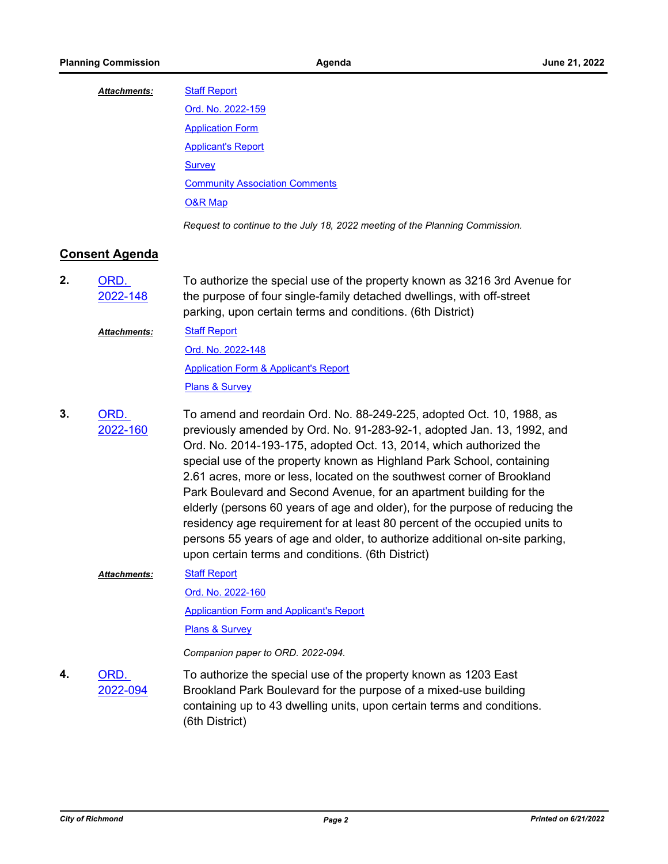#### [Staff Report](http://richmondva.legistar.com/gateway.aspx?M=F&ID=7a107378-ff5f-4f9c-b234-fec9fef327a6.pdf) *Attachments:*

| Ord. No. 2022-159                                                            |
|------------------------------------------------------------------------------|
| <b>Application Form</b>                                                      |
| <b>Applicant's Report</b>                                                    |
| <b>Survey</b>                                                                |
| <b>Community Association Comments</b>                                        |
| <b>O&amp;R Map</b>                                                           |
| Request to continue to the July 18, 2022 meeting of the Planning Commission. |

### **Consent Agenda**

- To authorize the special use of the property known as 3216 3rd Avenue for the purpose of four single-family detached dwellings, with off-street parking, upon certain terms and conditions. (6th District) ORD. [2022-148](http://richmondva.legistar.com/gateway.aspx?m=l&id=/matter.aspx?key=31728) **2.**
	- [Staff Report](http://richmondva.legistar.com/gateway.aspx?M=F&ID=3bd7b464-669b-405f-8b9f-c488a8d3970c.pdf) *Attachments:*

[Ord. No. 2022-148](http://richmondva.legistar.com/gateway.aspx?M=F&ID=51b9dd29-8cda-4fea-9b53-a7b4f735303f.pdf) **[Application Form & Applicant's Report](http://richmondva.legistar.com/gateway.aspx?M=F&ID=b431d1b7-a317-4d4b-b0e9-5e4ebb92ee7c.pdf)** 

[Plans & Survey](http://richmondva.legistar.com/gateway.aspx?M=F&ID=007c27f6-1542-460d-be80-93c60397dae2.pdf)

To amend and reordain Ord. No. 88-249-225, adopted Oct. 10, 1988, as previously amended by Ord. No. 91-283-92-1, adopted Jan. 13, 1992, and Ord. No. 2014-193-175, adopted Oct. 13, 2014, which authorized the special use of the property known as Highland Park School, containing 2.61 acres, more or less, located on the southwest corner of Brookland Park Boulevard and Second Avenue, for an apartment building for the elderly (persons 60 years of age and older), for the purpose of reducing the residency age requirement for at least 80 percent of the occupied units to persons 55 years of age and older, to authorize additional on-site parking, upon certain terms and conditions. (6th District) ORD. [2022-160](http://richmondva.legistar.com/gateway.aspx?m=l&id=/matter.aspx?key=31999) **3.**

#### [Staff Report](http://richmondva.legistar.com/gateway.aspx?M=F&ID=7dccad11-9500-4c4d-9201-74f6388a35da.pdf) *Attachments:*

[Ord. No. 2022-160](http://richmondva.legistar.com/gateway.aspx?M=F&ID=6d2e43dd-f97d-4405-97f2-dc2c3f6d0ae9.pdf) **[Applicantion Form and Applicant's Report](http://richmondva.legistar.com/gateway.aspx?M=F&ID=1c5c2421-3a77-4e17-8681-225d19ee2b24.pdf)** 

**[Plans & Survey](http://richmondva.legistar.com/gateway.aspx?M=F&ID=16c06e93-8fc0-4289-a893-8632f79c01d3.pdf)** 

*Companion paper to ORD. 2022-094.*

To authorize the special use of the property known as 1203 East Brookland Park Boulevard for the purpose of a mixed-use building containing up to 43 dwelling units, upon certain terms and conditions. (6th District) ORD. [2022-094](http://richmondva.legistar.com/gateway.aspx?m=l&id=/matter.aspx?key=31634) **4.**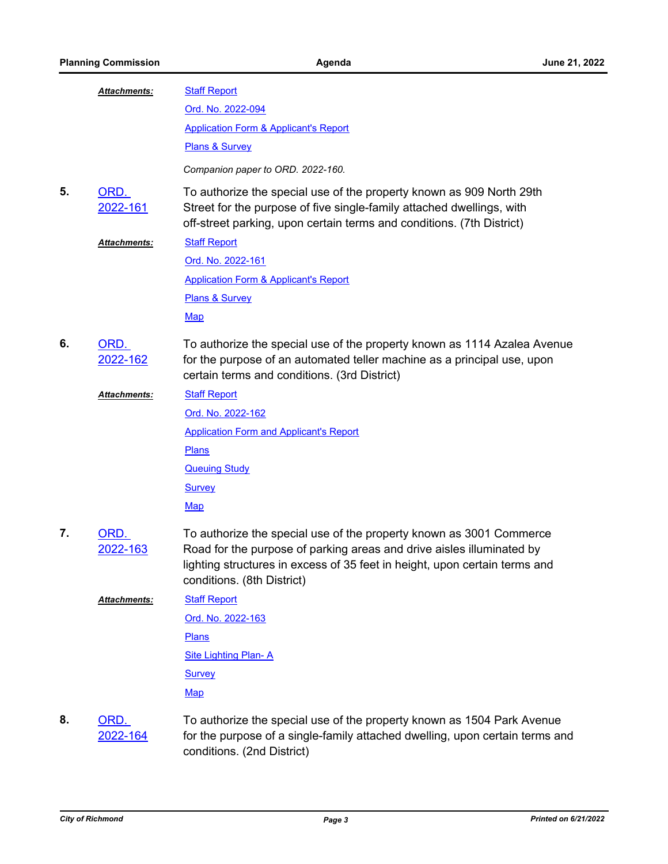|    | Attachments:         | <b>Staff Report</b>                                                                                                                                                                                                                                      |
|----|----------------------|----------------------------------------------------------------------------------------------------------------------------------------------------------------------------------------------------------------------------------------------------------|
|    |                      | Ord. No. 2022-094                                                                                                                                                                                                                                        |
|    |                      | <b>Application Form &amp; Applicant's Report</b>                                                                                                                                                                                                         |
|    |                      | Plans & Survey                                                                                                                                                                                                                                           |
|    |                      | Companion paper to ORD. 2022-160.                                                                                                                                                                                                                        |
| 5. | ORD.<br>2022-161     | To authorize the special use of the property known as 909 North 29th<br>Street for the purpose of five single-family attached dwellings, with<br>off-street parking, upon certain terms and conditions. (7th District)                                   |
|    | <u> Attachments:</u> | <b>Staff Report</b>                                                                                                                                                                                                                                      |
|    |                      | Ord. No. 2022-161                                                                                                                                                                                                                                        |
|    |                      | <b>Application Form &amp; Applicant's Report</b>                                                                                                                                                                                                         |
|    |                      | Plans & Survey                                                                                                                                                                                                                                           |
|    |                      | <b>Map</b>                                                                                                                                                                                                                                               |
| 6. | ORD.<br>2022-162     | To authorize the special use of the property known as 1114 Azalea Avenue<br>for the purpose of an automated teller machine as a principal use, upon<br>certain terms and conditions. (3rd District)                                                      |
|    | Attachments:         | <b>Staff Report</b>                                                                                                                                                                                                                                      |
|    |                      | Ord. No. 2022-162                                                                                                                                                                                                                                        |
|    |                      | <b>Application Form and Applicant's Report</b>                                                                                                                                                                                                           |
|    |                      | Plans                                                                                                                                                                                                                                                    |
|    |                      | <b>Queuing Study</b>                                                                                                                                                                                                                                     |
|    |                      | <b>Survey</b>                                                                                                                                                                                                                                            |
|    |                      | <b>Map</b>                                                                                                                                                                                                                                               |
| 7. | ORD.<br>2022-163     | To authorize the special use of the property known as 3001 Commerce<br>Road for the purpose of parking areas and drive aisles illuminated by<br>lighting structures in excess of 35 feet in height, upon certain terms and<br>conditions. (8th District) |
|    | <b>Attachments:</b>  | <b>Staff Report</b>                                                                                                                                                                                                                                      |
|    |                      | Ord. No. 2022-163                                                                                                                                                                                                                                        |
|    |                      | <b>Plans</b>                                                                                                                                                                                                                                             |
|    |                      | <b>Site Lighting Plan-A</b>                                                                                                                                                                                                                              |
|    |                      | <b>Survey</b>                                                                                                                                                                                                                                            |
|    |                      | <b>Map</b>                                                                                                                                                                                                                                               |
| 8. | ORD.<br>2022-164     | To authorize the special use of the property known as 1504 Park Avenue<br>for the purpose of a single-family attached dwelling, upon certain terms and<br>conditions. (2nd District)                                                                     |